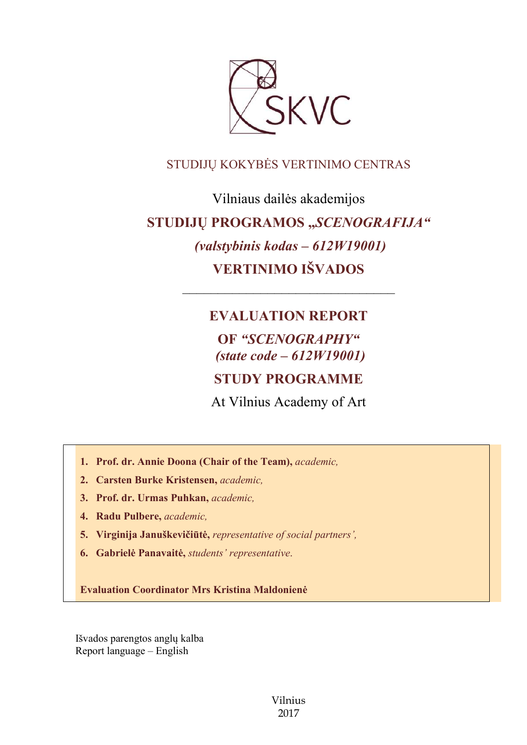

## STUDIJŲ KOKYBĖS VERTINIMO CENTRAS

# Vilniaus dailės akademijos **STUDIJŲ PROGRAMOS "***SCENOGRAFIJA" (valstybinis kodas – 612W19001)* **VERTINIMO IŠVADOS**

## **EVALUATION REPORT**

––––––––––––––––––––––––––––––

**OF** *"SCENOGRAPHY" (state code – 612W19001)* **STUDY PROGRAMME**

At Vilnius Academy of Art

- **1. Prof. dr. Annie Doona (Chair of the Team),** *academic,*
- **2. Carsten Burke Kristensen,** *academic,*
- **3. Prof. dr. Urmas Puhkan,** *academic,*
- **4. Radu Pulbere,** *academic,*
- **5. Virginija Januškevičiūtė,** *representative of social partners',*
- **6. Gabrielė Panavaitė,** *students' representative*.

**Evaluation Coordinator Mrs Kristina Maldonienė**

Išvados parengtos anglų kalba Report language – English

> Vilnius 2017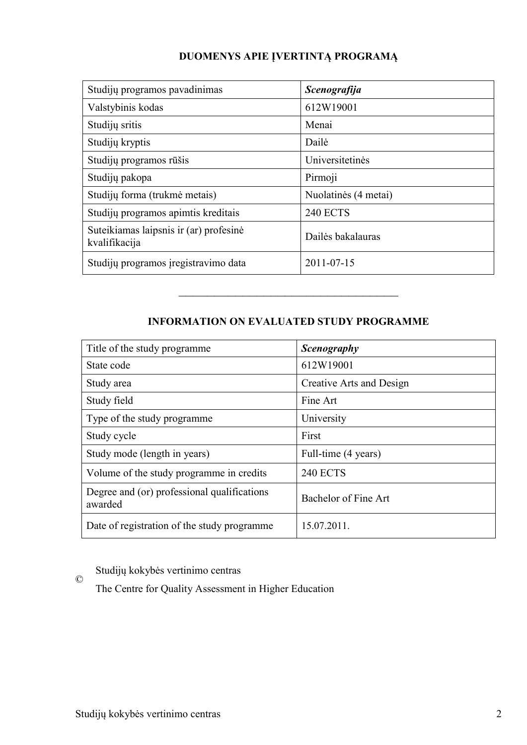## **DUOMENYS APIE ĮVERTINTĄ PROGRAMĄ**

| Studijų programos pavadinimas                           | <b>Scenografija</b>  |
|---------------------------------------------------------|----------------------|
| Valstybinis kodas                                       | 612W19001            |
| Studijų sritis                                          | Menai                |
| Studijų kryptis                                         | Dailė                |
| Studijų programos rūšis                                 | Universitetinės      |
| Studijų pakopa                                          | Pirmoji              |
| Studijų forma (trukmė metais)                           | Nuolatinės (4 metai) |
| Studijų programos apimtis kreditais                     | <b>240 ECTS</b>      |
| Suteikiamas laipsnis ir (ar) profesinė<br>kvalifikacija | Dailės bakalauras    |
| Studijų programos įregistravimo data                    | 2011-07-15           |

## **INFORMATION ON EVALUATED STUDY PROGRAMME**

–––––––––––––––––––––––––––––––

| Title of the study programme                           | <b>Scenography</b>       |
|--------------------------------------------------------|--------------------------|
| State code                                             | 612W19001                |
| Study area                                             | Creative Arts and Design |
| Study field                                            | Fine Art                 |
| Type of the study programme                            | University               |
| Study cycle                                            | First                    |
| Study mode (length in years)                           | Full-time (4 years)      |
| Volume of the study programme in credits               | <b>240 ECTS</b>          |
| Degree and (or) professional qualifications<br>awarded | Bachelor of Fine Art     |
| Date of registration of the study programme            | 15.07.2011.              |

© Studijų kokybės vertinimo centras

The Centre for Quality Assessment in Higher Education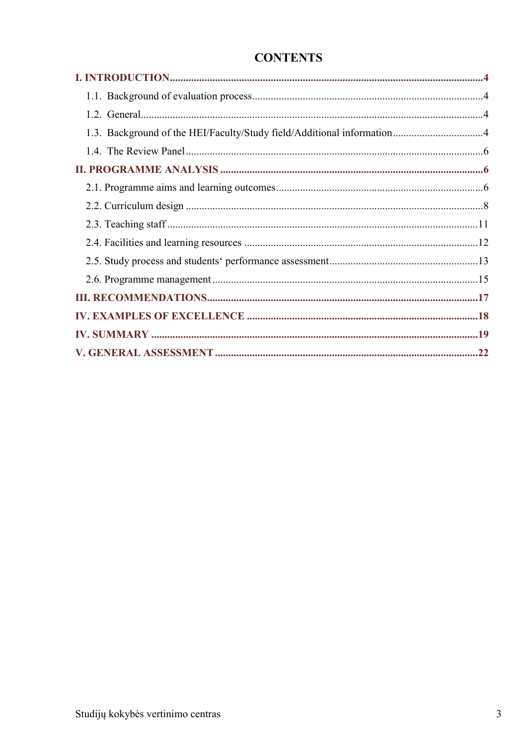## **CONTENTS**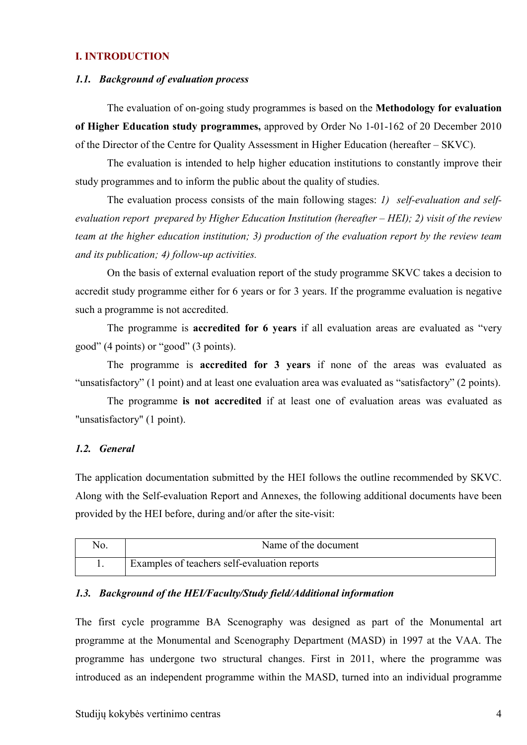## **I. INTRODUCTION**

#### *1.1. Background of evaluation process*

The evaluation of on-going study programmes is based on the **Methodology for evaluation of Higher Education study programmes,** approved by Order No 1-01-162 of 20 December 2010 of the Director of the Centre for Quality Assessment in Higher Education (hereafter – SKVC).

The evaluation is intended to help higher education institutions to constantly improve their study programmes and to inform the public about the quality of studies.

The evaluation process consists of the main following stages: *1) self-evaluation and selfevaluation report prepared by Higher Education Institution (hereafter – HEI); 2) visit of the review team at the higher education institution; 3) production of the evaluation report by the review team and its publication; 4) follow-up activities.* 

On the basis of external evaluation report of the study programme SKVC takes a decision to accredit study programme either for 6 years or for 3 years. If the programme evaluation is negative such a programme is not accredited.

The programme is **accredited for 6 years** if all evaluation areas are evaluated as "very good" (4 points) or "good" (3 points).

The programme is **accredited for 3 years** if none of the areas was evaluated as "unsatisfactory" (1 point) and at least one evaluation area was evaluated as "satisfactory" (2 points).

The programme **is not accredited** if at least one of evaluation areas was evaluated as "unsatisfactory" (1 point).

#### *1.2. General*

The application documentation submitted by the HEI follows the outline recommended by SKVC. Along with the Self-evaluation Report and Annexes, the following additional documents have been provided by the HEI before, during and/or after the site-visit:

| No. | Name of the document                         |
|-----|----------------------------------------------|
|     | Examples of teachers self-evaluation reports |

### *1.3. Background of the HEI/Faculty/Study field/Additional information*

The first cycle programme BA Scenography was designed as part of the Monumental art programme at the Monumental and Scenography Department (MASD) in 1997 at the VAA. The programme has undergone two structural changes. First in 2011, where the programme was introduced as an independent programme within the MASD, turned into an individual programme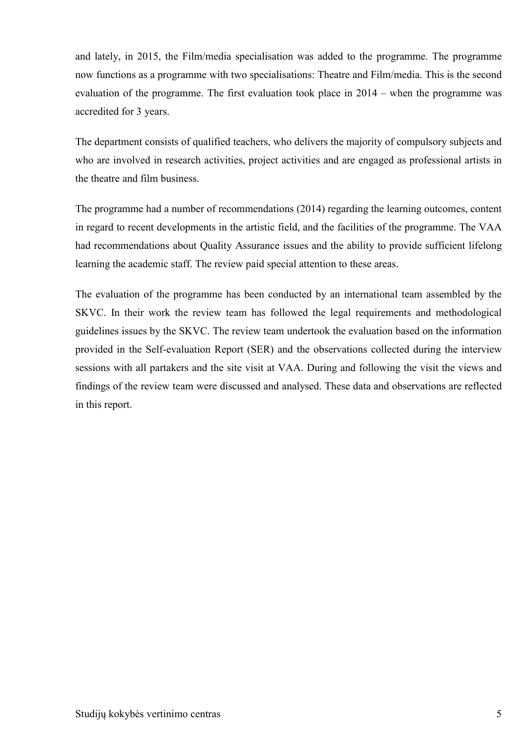and lately, in 2015, the Film/media specialisation was added to the programme. The programme now functions as a programme with two specialisations: Theatre and Film/media. This is the second evaluation of the programme. The first evaluation took place in 2014 – when the programme was accredited for 3 years.

The department consists of qualified teachers, who delivers the majority of compulsory subjects and who are involved in research activities, project activities and are engaged as professional artists in the theatre and film business.

The programme had a number of recommendations (2014) regarding the learning outcomes, content in regard to recent developments in the artistic field, and the facilities of the programme. The VAA had recommendations about Quality Assurance issues and the ability to provide sufficient lifelong learning the academic staff. The review paid special attention to these areas.

The evaluation of the programme has been conducted by an international team assembled by the SKVC. In their work the review team has followed the legal requirements and methodological guidelines issues by the SKVC. The review team undertook the evaluation based on the information provided in the Self-evaluation Report (SER) and the observations collected during the interview sessions with all partakers and the site visit at VAA. During and following the visit the views and findings of the review team were discussed and analysed. These data and observations are reflected in this report.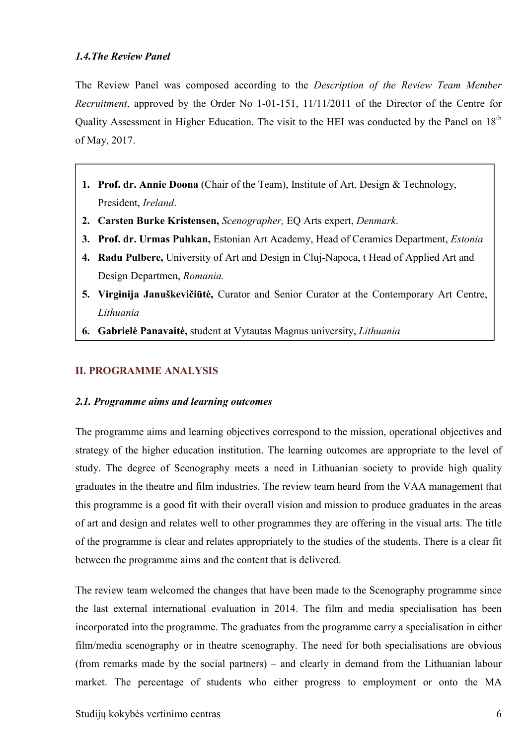## *1.4.The Review Panel*

The Review Panel was composed according to the *Description of the Review Team Member Recruitment*, approved by the Order No 1-01-151, 11/11/2011 of the Director of the Centre for Quality Assessment in Higher Education. The visit to the HEI was conducted by the Panel on  $18<sup>th</sup>$ of May, 2017.

- **1. Prof. dr. Annie Doona** (Chair of the Team), Institute of Art, Design & Technology, President, *Ireland*.
- **2. Carsten Burke Kristensen,** *Scenographer,* EQ Arts expert, *Denmark*.
- **3. Prof. dr. Urmas Puhkan,** Estonian Art Academy, Head of Ceramics Department, *Estonia*
- **4. Radu Pulbere,** University of Art and Design in Cluj-Napoca, t Head of Applied Art and Design Departmen, *Romania.*
- **5. Virginija Januškevičiūtė,** Curator and Senior Curator at the Contemporary Art Centre, *Lithuania*
- **6. Gabrielė Panavaitė,** student at Vytautas Magnus university, *Lithuania*

## **II. PROGRAMME ANALYSIS**

## *2.1. Programme aims and learning outcomes*

The programme aims and learning objectives correspond to the mission, operational objectives and strategy of the higher education institution. The learning outcomes are appropriate to the level of study. The degree of Scenography meets a need in Lithuanian society to provide high quality graduates in the theatre and film industries. The review team heard from the VAA management that this programme is a good fit with their overall vision and mission to produce graduates in the areas of art and design and relates well to other programmes they are offering in the visual arts. The title of the programme is clear and relates appropriately to the studies of the students. There is a clear fit between the programme aims and the content that is delivered.

The review team welcomed the changes that have been made to the Scenography programme since the last external international evaluation in 2014. The film and media specialisation has been incorporated into the programme. The graduates from the programme carry a specialisation in either film/media scenography or in theatre scenography. The need for both specialisations are obvious (from remarks made by the social partners) – and clearly in demand from the Lithuanian labour market. The percentage of students who either progress to employment or onto the MA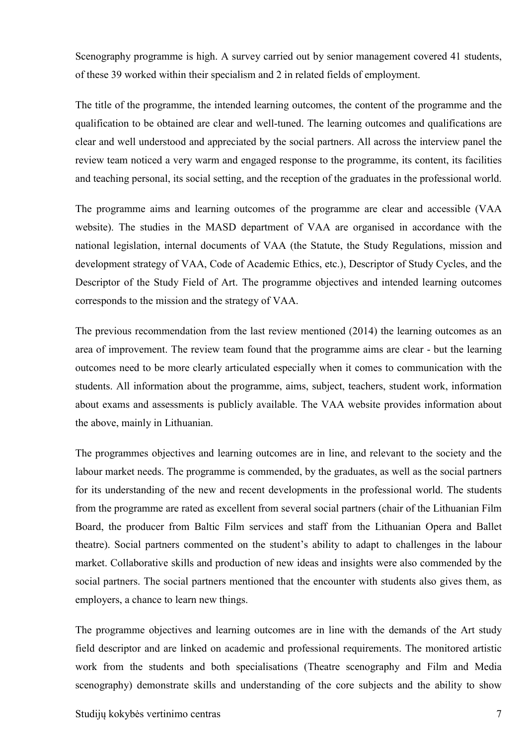Scenography programme is high. A survey carried out by senior management covered 41 students, of these 39 worked within their specialism and 2 in related fields of employment.

The title of the programme, the intended learning outcomes, the content of the programme and the qualification to be obtained are clear and well-tuned. The learning outcomes and qualifications are clear and well understood and appreciated by the social partners. All across the interview panel the review team noticed a very warm and engaged response to the programme, its content, its facilities and teaching personal, its social setting, and the reception of the graduates in the professional world.

The programme aims and learning outcomes of the programme are clear and accessible (VAA website). The studies in the MASD department of VAA are organised in accordance with the national legislation, internal documents of VAA (the Statute, the Study Regulations, mission and development strategy of VAA, Code of Academic Ethics, etc.), Descriptor of Study Cycles, and the Descriptor of the Study Field of Art. The programme objectives and intended learning outcomes corresponds to the mission and the strategy of VAA.

The previous recommendation from the last review mentioned (2014) the learning outcomes as an area of improvement. The review team found that the programme aims are clear - but the learning outcomes need to be more clearly articulated especially when it comes to communication with the students. All information about the programme, aims, subject, teachers, student work, information about exams and assessments is publicly available. The VAA website provides information about the above, mainly in Lithuanian.

The programmes objectives and learning outcomes are in line, and relevant to the society and the labour market needs. The programme is commended, by the graduates, as well as the social partners for its understanding of the new and recent developments in the professional world. The students from the programme are rated as excellent from several social partners (chair of the Lithuanian Film Board, the producer from Baltic Film services and staff from the Lithuanian Opera and Ballet theatre). Social partners commented on the student's ability to adapt to challenges in the labour market. Collaborative skills and production of new ideas and insights were also commended by the social partners. The social partners mentioned that the encounter with students also gives them, as employers, a chance to learn new things.

The programme objectives and learning outcomes are in line with the demands of the Art study field descriptor and are linked on academic and professional requirements. The monitored artistic work from the students and both specialisations (Theatre scenography and Film and Media scenography) demonstrate skills and understanding of the core subjects and the ability to show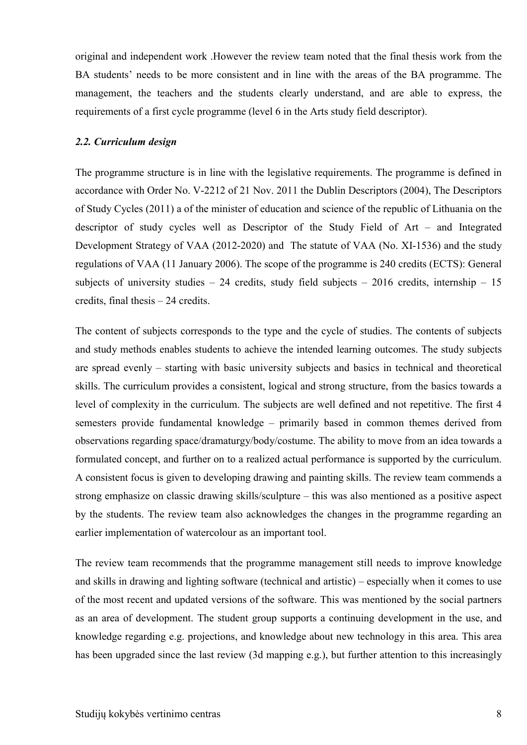original and independent work .However the review team noted that the final thesis work from the BA students' needs to be more consistent and in line with the areas of the BA programme. The management, the teachers and the students clearly understand, and are able to express, the requirements of a first cycle programme (level 6 in the Arts study field descriptor).

### *2.2. Curriculum design*

The programme structure is in line with the legislative requirements. The programme is defined in accordance with Order No. V-2212 of 21 Nov. 2011 the Dublin Descriptors (2004), The Descriptors of Study Cycles (2011) a of the minister of education and science of the republic of Lithuania on the descriptor of study cycles well as Descriptor of the Study Field of Art – and Integrated Development Strategy of VAA (2012-2020) and The statute of VAA (No. XI-1536) and the study regulations of VAA (11 January 2006). The scope of the programme is 240 credits (ECTS): General subjects of university studies – 24 credits, study field subjects – 2016 credits, internship – 15 credits, final thesis – 24 credits.

The content of subjects corresponds to the type and the cycle of studies. The contents of subjects and study methods enables students to achieve the intended learning outcomes. The study subjects are spread evenly – starting with basic university subjects and basics in technical and theoretical skills. The curriculum provides a consistent, logical and strong structure, from the basics towards a level of complexity in the curriculum. The subjects are well defined and not repetitive. The first 4 semesters provide fundamental knowledge – primarily based in common themes derived from observations regarding space/dramaturgy/body/costume. The ability to move from an idea towards a formulated concept, and further on to a realized actual performance is supported by the curriculum. A consistent focus is given to developing drawing and painting skills. The review team commends a strong emphasize on classic drawing skills/sculpture – this was also mentioned as a positive aspect by the students. The review team also acknowledges the changes in the programme regarding an earlier implementation of watercolour as an important tool.

The review team recommends that the programme management still needs to improve knowledge and skills in drawing and lighting software (technical and artistic) – especially when it comes to use of the most recent and updated versions of the software. This was mentioned by the social partners as an area of development. The student group supports a continuing development in the use, and knowledge regarding e.g. projections, and knowledge about new technology in this area. This area has been upgraded since the last review (3d mapping e.g.), but further attention to this increasingly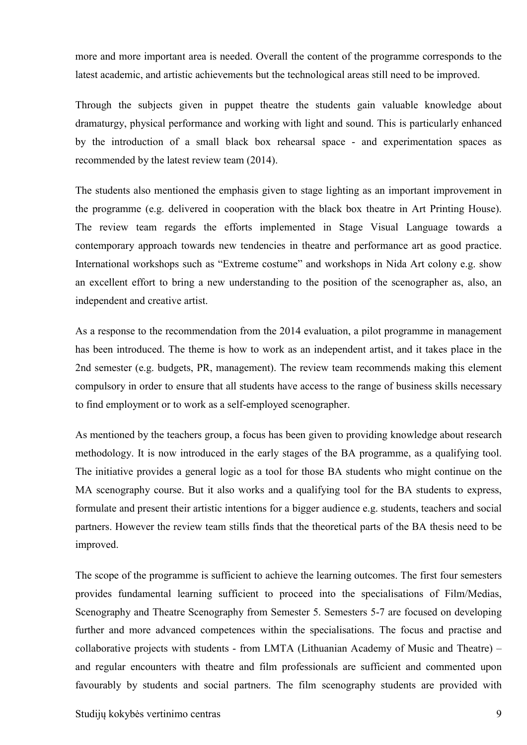more and more important area is needed. Overall the content of the programme corresponds to the latest academic, and artistic achievements but the technological areas still need to be improved.

Through the subjects given in puppet theatre the students gain valuable knowledge about dramaturgy, physical performance and working with light and sound. This is particularly enhanced by the introduction of a small black box rehearsal space - and experimentation spaces as recommended by the latest review team (2014).

The students also mentioned the emphasis given to stage lighting as an important improvement in the programme (e.g. delivered in cooperation with the black box theatre in Art Printing House). The review team regards the efforts implemented in Stage Visual Language towards a contemporary approach towards new tendencies in theatre and performance art as good practice. International workshops such as "Extreme costume" and workshops in Nida Art colony e.g. show an excellent effort to bring a new understanding to the position of the scenographer as, also, an independent and creative artist.

As a response to the recommendation from the 2014 evaluation, a pilot programme in management has been introduced. The theme is how to work as an independent artist, and it takes place in the 2nd semester (e.g. budgets, PR, management). The review team recommends making this element compulsory in order to ensure that all students have access to the range of business skills necessary to find employment or to work as a self-employed scenographer.

As mentioned by the teachers group, a focus has been given to providing knowledge about research methodology. It is now introduced in the early stages of the BA programme, as a qualifying tool. The initiative provides a general logic as a tool for those BA students who might continue on the MA scenography course. But it also works and a qualifying tool for the BA students to express, formulate and present their artistic intentions for a bigger audience e.g. students, teachers and social partners. However the review team stills finds that the theoretical parts of the BA thesis need to be improved.

The scope of the programme is sufficient to achieve the learning outcomes. The first four semesters provides fundamental learning sufficient to proceed into the specialisations of Film/Medias, Scenography and Theatre Scenography from Semester 5. Semesters 5-7 are focused on developing further and more advanced competences within the specialisations. The focus and practise and collaborative projects with students - from LMTA (Lithuanian Academy of Music and Theatre) – and regular encounters with theatre and film professionals are sufficient and commented upon favourably by students and social partners. The film scenography students are provided with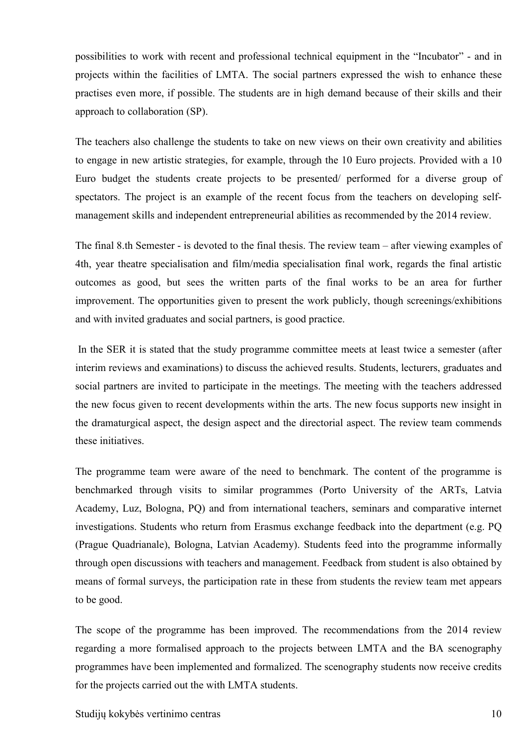possibilities to work with recent and professional technical equipment in the "Incubator" - and in projects within the facilities of LMTA. The social partners expressed the wish to enhance these practises even more, if possible. The students are in high demand because of their skills and their approach to collaboration (SP).

The teachers also challenge the students to take on new views on their own creativity and abilities to engage in new artistic strategies, for example, through the 10 Euro projects. Provided with a 10 Euro budget the students create projects to be presented/ performed for a diverse group of spectators. The project is an example of the recent focus from the teachers on developing selfmanagement skills and independent entrepreneurial abilities as recommended by the 2014 review.

The final 8.th Semester - is devoted to the final thesis. The review team – after viewing examples of 4th, year theatre specialisation and film/media specialisation final work, regards the final artistic outcomes as good, but sees the written parts of the final works to be an area for further improvement. The opportunities given to present the work publicly, though screenings/exhibitions and with invited graduates and social partners, is good practice.

In the SER it is stated that the study programme committee meets at least twice a semester (after interim reviews and examinations) to discuss the achieved results. Students, lecturers, graduates and social partners are invited to participate in the meetings. The meeting with the teachers addressed the new focus given to recent developments within the arts. The new focus supports new insight in the dramaturgical aspect, the design aspect and the directorial aspect. The review team commends these initiatives.

The programme team were aware of the need to benchmark. The content of the programme is benchmarked through visits to similar programmes (Porto University of the ARTs, Latvia Academy, Luz, Bologna, PQ) and from international teachers, seminars and comparative internet investigations. Students who return from Erasmus exchange feedback into the department (e.g. PQ (Prague Quadrianale), Bologna, Latvian Academy). Students feed into the programme informally through open discussions with teachers and management. Feedback from student is also obtained by means of formal surveys, the participation rate in these from students the review team met appears to be good.

The scope of the programme has been improved. The recommendations from the 2014 review regarding a more formalised approach to the projects between LMTA and the BA scenography programmes have been implemented and formalized. The scenography students now receive credits for the projects carried out the with LMTA students.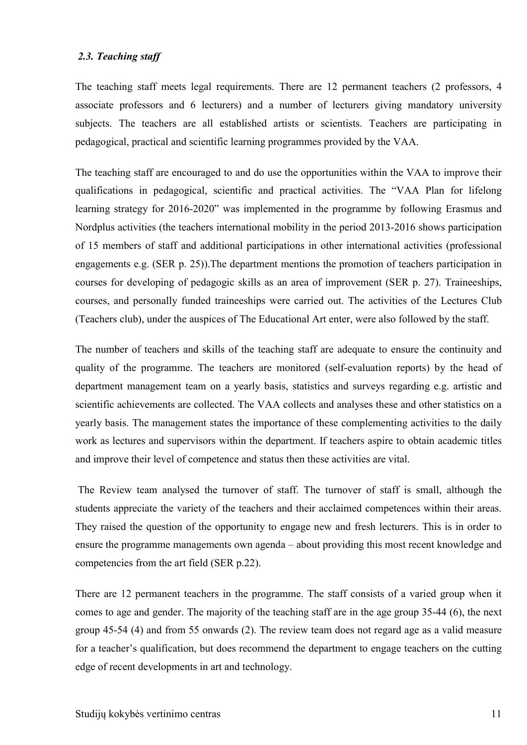## *2.3. Teaching staff*

The teaching staff meets legal requirements. There are 12 permanent teachers (2 professors, 4 associate professors and 6 lecturers) and a number of lecturers giving mandatory university subjects. The teachers are all established artists or scientists. Teachers are participating in pedagogical, practical and scientific learning programmes provided by the VAA.

The teaching staff are encouraged to and do use the opportunities within the VAA to improve their qualifications in pedagogical, scientific and practical activities. The "VAA Plan for lifelong learning strategy for 2016-2020" was implemented in the programme by following Erasmus and Nordplus activities (the teachers international mobility in the period 2013-2016 shows participation of 15 members of staff and additional participations in other international activities (professional engagements e.g. (SER p. 25)).The department mentions the promotion of teachers participation in courses for developing of pedagogic skills as an area of improvement (SER p. 27). Traineeships, courses, and personally funded traineeships were carried out. The activities of the Lectures Club (Teachers club), under the auspices of The Educational Art enter, were also followed by the staff.

The number of teachers and skills of the teaching staff are adequate to ensure the continuity and quality of the programme. The teachers are monitored (self-evaluation reports) by the head of department management team on a yearly basis, statistics and surveys regarding e.g. artistic and scientific achievements are collected. The VAA collects and analyses these and other statistics on a yearly basis. The management states the importance of these complementing activities to the daily work as lectures and supervisors within the department. If teachers aspire to obtain academic titles and improve their level of competence and status then these activities are vital.

The Review team analysed the turnover of staff. The turnover of staff is small, although the students appreciate the variety of the teachers and their acclaimed competences within their areas. They raised the question of the opportunity to engage new and fresh lecturers. This is in order to ensure the programme managements own agenda – about providing this most recent knowledge and competencies from the art field (SER p.22).

There are 12 permanent teachers in the programme. The staff consists of a varied group when it comes to age and gender. The majority of the teaching staff are in the age group 35-44 (6), the next group 45-54 (4) and from 55 onwards (2). The review team does not regard age as a valid measure for a teacher's qualification, but does recommend the department to engage teachers on the cutting edge of recent developments in art and technology.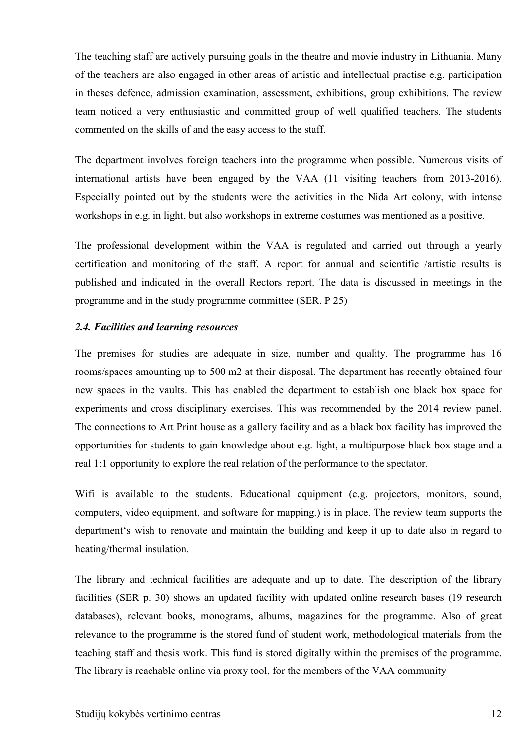The teaching staff are actively pursuing goals in the theatre and movie industry in Lithuania. Many of the teachers are also engaged in other areas of artistic and intellectual practise e.g. participation in theses defence, admission examination, assessment, exhibitions, group exhibitions. The review team noticed a very enthusiastic and committed group of well qualified teachers. The students commented on the skills of and the easy access to the staff.

The department involves foreign teachers into the programme when possible. Numerous visits of international artists have been engaged by the VAA (11 visiting teachers from 2013-2016). Especially pointed out by the students were the activities in the Nida Art colony, with intense workshops in e.g. in light, but also workshops in extreme costumes was mentioned as a positive.

The professional development within the VAA is regulated and carried out through a yearly certification and monitoring of the staff. A report for annual and scientific /artistic results is published and indicated in the overall Rectors report. The data is discussed in meetings in the programme and in the study programme committee (SER. P 25)

## *2.4. Facilities and learning resources*

The premises for studies are adequate in size, number and quality. The programme has 16 rooms/spaces amounting up to 500 m2 at their disposal. The department has recently obtained four new spaces in the vaults. This has enabled the department to establish one black box space for experiments and cross disciplinary exercises. This was recommended by the 2014 review panel. The connections to Art Print house as a gallery facility and as a black box facility has improved the opportunities for students to gain knowledge about e.g. light, a multipurpose black box stage and a real 1:1 opportunity to explore the real relation of the performance to the spectator.

Wifi is available to the students. Educational equipment (e.g. projectors, monitors, sound, computers, video equipment, and software for mapping.) is in place. The review team supports the department's wish to renovate and maintain the building and keep it up to date also in regard to heating/thermal insulation.

The library and technical facilities are adequate and up to date. The description of the library facilities (SER p. 30) shows an updated facility with updated online research bases (19 research databases), relevant books, monograms, albums, magazines for the programme. Also of great relevance to the programme is the stored fund of student work, methodological materials from the teaching staff and thesis work. This fund is stored digitally within the premises of the programme. The library is reachable online via proxy tool, for the members of the VAA community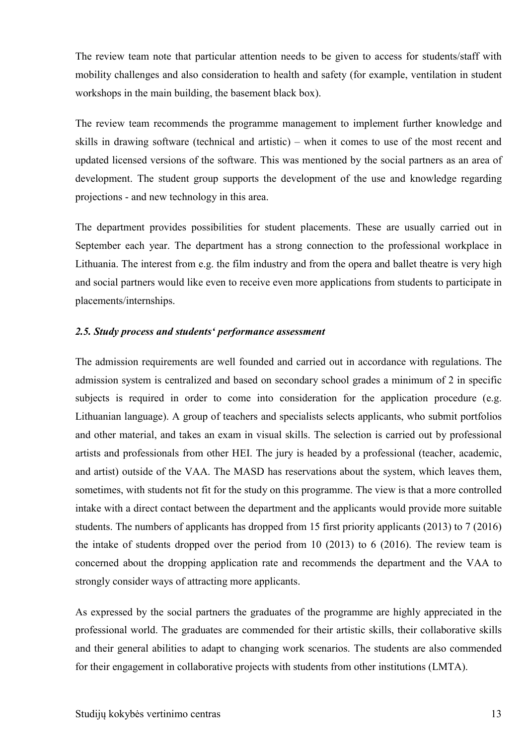The review team note that particular attention needs to be given to access for students/staff with mobility challenges and also consideration to health and safety (for example, ventilation in student workshops in the main building, the basement black box).

The review team recommends the programme management to implement further knowledge and skills in drawing software (technical and artistic) – when it comes to use of the most recent and updated licensed versions of the software. This was mentioned by the social partners as an area of development. The student group supports the development of the use and knowledge regarding projections - and new technology in this area.

The department provides possibilities for student placements. These are usually carried out in September each year. The department has a strong connection to the professional workplace in Lithuania. The interest from e.g. the film industry and from the opera and ballet theatre is very high and social partners would like even to receive even more applications from students to participate in placements/internships.

### *2.5. Study process and students' performance assessment*

The admission requirements are well founded and carried out in accordance with regulations. The admission system is centralized and based on secondary school grades a minimum of 2 in specific subjects is required in order to come into consideration for the application procedure (e.g. Lithuanian language). A group of teachers and specialists selects applicants, who submit portfolios and other material, and takes an exam in visual skills. The selection is carried out by professional artists and professionals from other HEI. The jury is headed by a professional (teacher, academic, and artist) outside of the VAA. The MASD has reservations about the system, which leaves them, sometimes, with students not fit for the study on this programme. The view is that a more controlled intake with a direct contact between the department and the applicants would provide more suitable students. The numbers of applicants has dropped from 15 first priority applicants (2013) to 7 (2016) the intake of students dropped over the period from 10 (2013) to 6 (2016). The review team is concerned about the dropping application rate and recommends the department and the VAA to strongly consider ways of attracting more applicants.

As expressed by the social partners the graduates of the programme are highly appreciated in the professional world. The graduates are commended for their artistic skills, their collaborative skills and their general abilities to adapt to changing work scenarios. The students are also commended for their engagement in collaborative projects with students from other institutions (LMTA).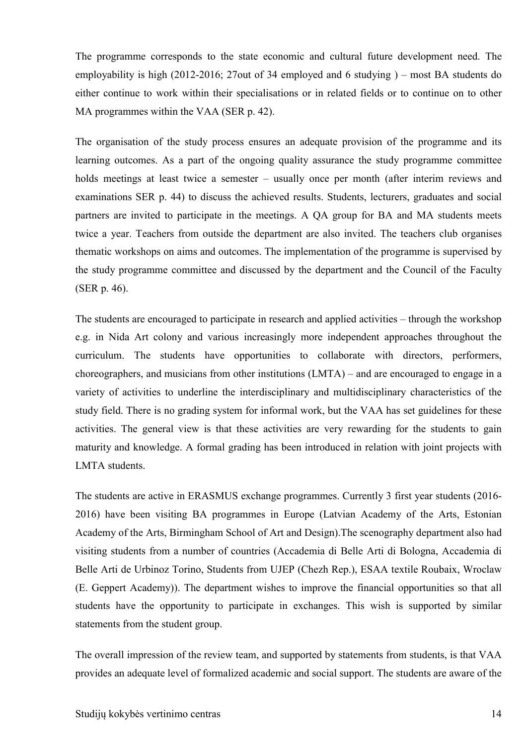The programme corresponds to the state economic and cultural future development need. The employability is high (2012-2016; 27out of 34 employed and 6 studying ) – most BA students do either continue to work within their specialisations or in related fields or to continue on to other MA programmes within the VAA (SER p. 42).

The organisation of the study process ensures an adequate provision of the programme and its learning outcomes. As a part of the ongoing quality assurance the study programme committee holds meetings at least twice a semester – usually once per month (after interim reviews and examinations SER p. 44) to discuss the achieved results. Students, lecturers, graduates and social partners are invited to participate in the meetings. A QA group for BA and MA students meets twice a year. Teachers from outside the department are also invited. The teachers club organises thematic workshops on aims and outcomes. The implementation of the programme is supervised by the study programme committee and discussed by the department and the Council of the Faculty (SER p. 46).

The students are encouraged to participate in research and applied activities – through the workshop e.g. in Nida Art colony and various increasingly more independent approaches throughout the curriculum. The students have opportunities to collaborate with directors, performers, choreographers, and musicians from other institutions (LMTA) – and are encouraged to engage in a variety of activities to underline the interdisciplinary and multidisciplinary characteristics of the study field. There is no grading system for informal work, but the VAA has set guidelines for these activities. The general view is that these activities are very rewarding for the students to gain maturity and knowledge. A formal grading has been introduced in relation with joint projects with LMTA students.

The students are active in ERASMUS exchange programmes. Currently 3 first year students (2016- 2016) have been visiting BA programmes in Europe (Latvian Academy of the Arts, Estonian Academy of the Arts, Birmingham School of Art and Design).The scenography department also had visiting students from a number of countries (Accademia di Belle Arti di Bologna, Accademia di Belle Arti de Urbinoz Torino, Students from UJEP (Chezh Rep.), ESAA textile Roubaix, Wroclaw (E. Geppert Academy)). The department wishes to improve the financial opportunities so that all students have the opportunity to participate in exchanges. This wish is supported by similar statements from the student group.

The overall impression of the review team, and supported by statements from students, is that VAA provides an adequate level of formalized academic and social support. The students are aware of the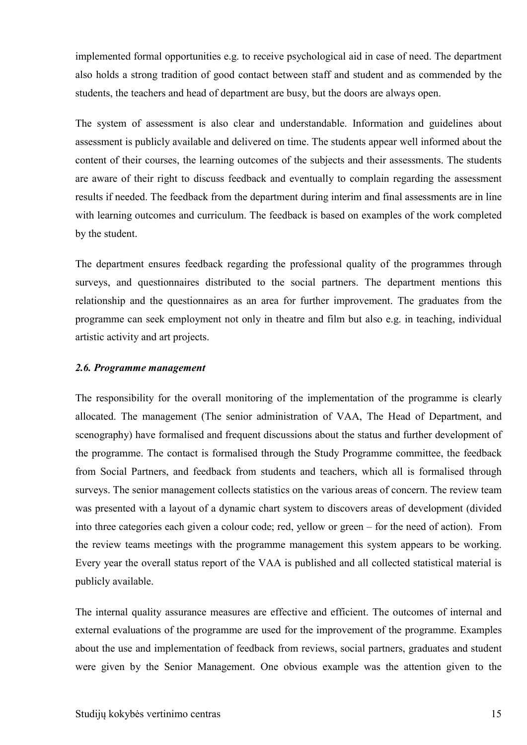implemented formal opportunities e.g. to receive psychological aid in case of need. The department also holds a strong tradition of good contact between staff and student and as commended by the students, the teachers and head of department are busy, but the doors are always open.

The system of assessment is also clear and understandable. Information and guidelines about assessment is publicly available and delivered on time. The students appear well informed about the content of their courses, the learning outcomes of the subjects and their assessments. The students are aware of their right to discuss feedback and eventually to complain regarding the assessment results if needed. The feedback from the department during interim and final assessments are in line with learning outcomes and curriculum. The feedback is based on examples of the work completed by the student.

The department ensures feedback regarding the professional quality of the programmes through surveys, and questionnaires distributed to the social partners. The department mentions this relationship and the questionnaires as an area for further improvement. The graduates from the programme can seek employment not only in theatre and film but also e.g. in teaching, individual artistic activity and art projects.

#### *2.6. Programme management*

The responsibility for the overall monitoring of the implementation of the programme is clearly allocated. The management (The senior administration of VAA, The Head of Department, and scenography) have formalised and frequent discussions about the status and further development of the programme. The contact is formalised through the Study Programme committee, the feedback from Social Partners, and feedback from students and teachers, which all is formalised through surveys. The senior management collects statistics on the various areas of concern. The review team was presented with a layout of a dynamic chart system to discovers areas of development (divided into three categories each given a colour code; red, yellow or green – for the need of action). From the review teams meetings with the programme management this system appears to be working. Every year the overall status report of the VAA is published and all collected statistical material is publicly available.

The internal quality assurance measures are effective and efficient. The outcomes of internal and external evaluations of the programme are used for the improvement of the programme. Examples about the use and implementation of feedback from reviews, social partners, graduates and student were given by the Senior Management. One obvious example was the attention given to the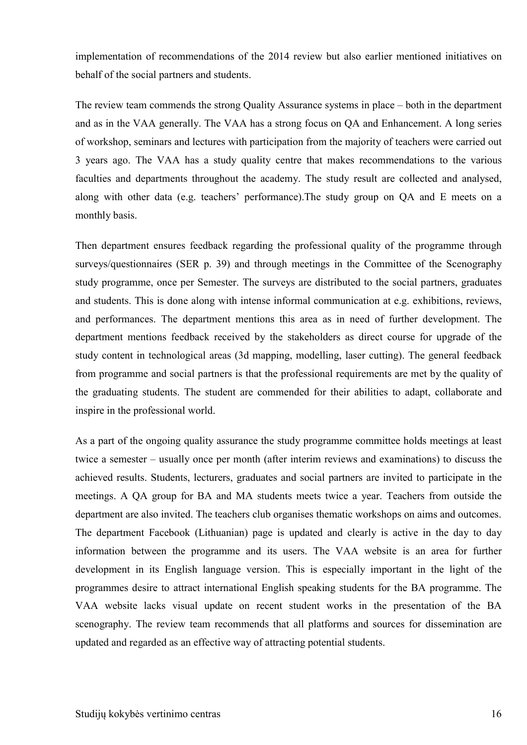implementation of recommendations of the 2014 review but also earlier mentioned initiatives on behalf of the social partners and students.

The review team commends the strong Quality Assurance systems in place – both in the department and as in the VAA generally. The VAA has a strong focus on QA and Enhancement. A long series of workshop, seminars and lectures with participation from the majority of teachers were carried out 3 years ago. The VAA has a study quality centre that makes recommendations to the various faculties and departments throughout the academy. The study result are collected and analysed, along with other data (e.g. teachers' performance).The study group on QA and E meets on a monthly basis.

Then department ensures feedback regarding the professional quality of the programme through surveys/questionnaires (SER p. 39) and through meetings in the Committee of the Scenography study programme, once per Semester. The surveys are distributed to the social partners, graduates and students. This is done along with intense informal communication at e.g. exhibitions, reviews, and performances. The department mentions this area as in need of further development. The department mentions feedback received by the stakeholders as direct course for upgrade of the study content in technological areas (3d mapping, modelling, laser cutting). The general feedback from programme and social partners is that the professional requirements are met by the quality of the graduating students. The student are commended for their abilities to adapt, collaborate and inspire in the professional world.

As a part of the ongoing quality assurance the study programme committee holds meetings at least twice a semester – usually once per month (after interim reviews and examinations) to discuss the achieved results. Students, lecturers, graduates and social partners are invited to participate in the meetings. A QA group for BA and MA students meets twice a year. Teachers from outside the department are also invited. The teachers club organises thematic workshops on aims and outcomes. The department Facebook (Lithuanian) page is updated and clearly is active in the day to day information between the programme and its users. The VAA website is an area for further development in its English language version. This is especially important in the light of the programmes desire to attract international English speaking students for the BA programme. The VAA website lacks visual update on recent student works in the presentation of the BA scenography. The review team recommends that all platforms and sources for dissemination are updated and regarded as an effective way of attracting potential students.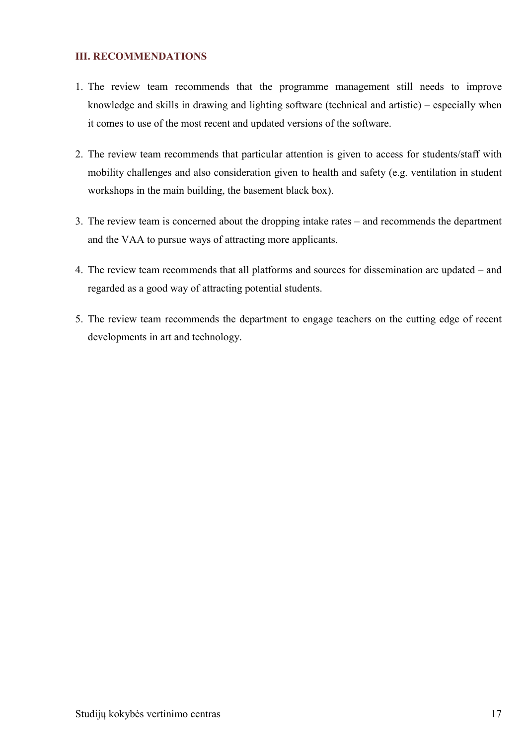## **III. RECOMMENDATIONS**

- 1. The review team recommends that the programme management still needs to improve knowledge and skills in drawing and lighting software (technical and artistic) – especially when it comes to use of the most recent and updated versions of the software.
- 2. The review team recommends that particular attention is given to access for students/staff with mobility challenges and also consideration given to health and safety (e.g. ventilation in student workshops in the main building, the basement black box).
- 3. The review team is concerned about the dropping intake rates and recommends the department and the VAA to pursue ways of attracting more applicants.
- 4. The review team recommends that all platforms and sources for dissemination are updated and regarded as a good way of attracting potential students.
- 5. The review team recommends the department to engage teachers on the cutting edge of recent developments in art and technology.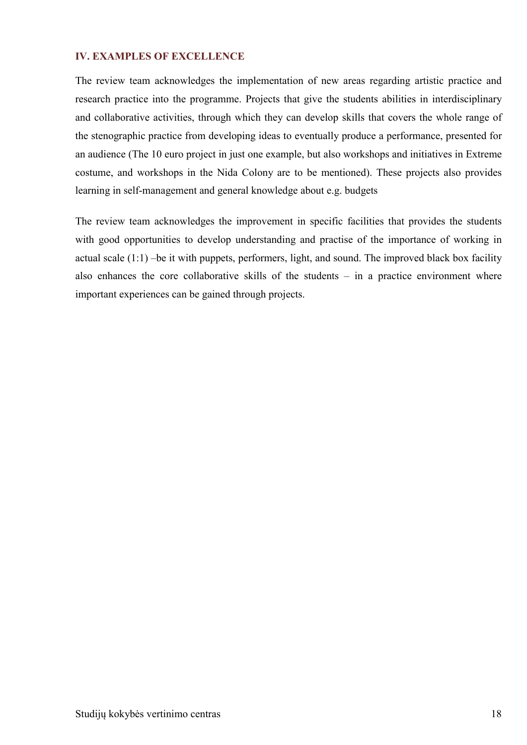## **IV. EXAMPLES OF EXCELLENCE**

The review team acknowledges the implementation of new areas regarding artistic practice and research practice into the programme. Projects that give the students abilities in interdisciplinary and collaborative activities, through which they can develop skills that covers the whole range of the stenographic practice from developing ideas to eventually produce a performance, presented for an audience (The 10 euro project in just one example, but also workshops and initiatives in Extreme costume, and workshops in the Nida Colony are to be mentioned). These projects also provides learning in self-management and general knowledge about e.g. budgets

The review team acknowledges the improvement in specific facilities that provides the students with good opportunities to develop understanding and practise of the importance of working in actual scale  $(1:1)$  –be it with puppets, performers, light, and sound. The improved black box facility also enhances the core collaborative skills of the students – in a practice environment where important experiences can be gained through projects.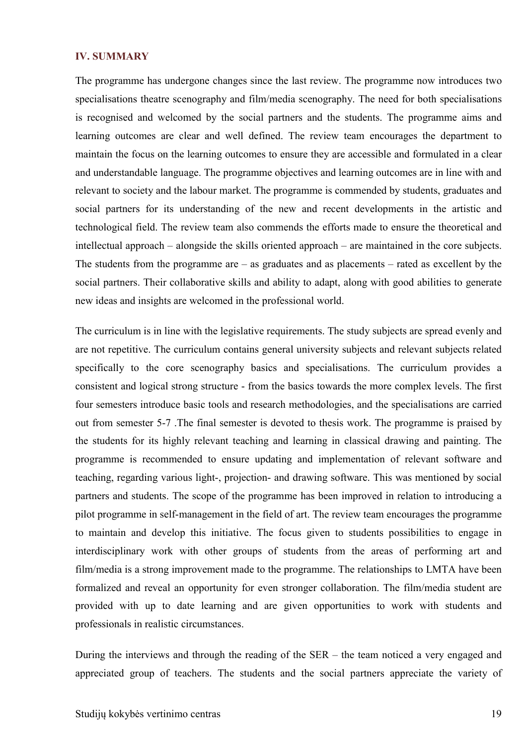## **IV. SUMMARY**

The programme has undergone changes since the last review. The programme now introduces two specialisations theatre scenography and film/media scenography. The need for both specialisations is recognised and welcomed by the social partners and the students. The programme aims and learning outcomes are clear and well defined. The review team encourages the department to maintain the focus on the learning outcomes to ensure they are accessible and formulated in a clear and understandable language. The programme objectives and learning outcomes are in line with and relevant to society and the labour market. The programme is commended by students, graduates and social partners for its understanding of the new and recent developments in the artistic and technological field. The review team also commends the efforts made to ensure the theoretical and intellectual approach – alongside the skills oriented approach – are maintained in the core subjects. The students from the programme are  $-$  as graduates and as placements  $-$  rated as excellent by the social partners. Their collaborative skills and ability to adapt, along with good abilities to generate new ideas and insights are welcomed in the professional world.

The curriculum is in line with the legislative requirements. The study subjects are spread evenly and are not repetitive. The curriculum contains general university subjects and relevant subjects related specifically to the core scenography basics and specialisations. The curriculum provides a consistent and logical strong structure - from the basics towards the more complex levels. The first four semesters introduce basic tools and research methodologies, and the specialisations are carried out from semester 5-7 .The final semester is devoted to thesis work. The programme is praised by the students for its highly relevant teaching and learning in classical drawing and painting. The programme is recommended to ensure updating and implementation of relevant software and teaching, regarding various light-, projection- and drawing software. This was mentioned by social partners and students. The scope of the programme has been improved in relation to introducing a pilot programme in self-management in the field of art. The review team encourages the programme to maintain and develop this initiative. The focus given to students possibilities to engage in interdisciplinary work with other groups of students from the areas of performing art and film/media is a strong improvement made to the programme. The relationships to LMTA have been formalized and reveal an opportunity for even stronger collaboration. The film/media student are provided with up to date learning and are given opportunities to work with students and professionals in realistic circumstances.

During the interviews and through the reading of the SER – the team noticed a very engaged and appreciated group of teachers. The students and the social partners appreciate the variety of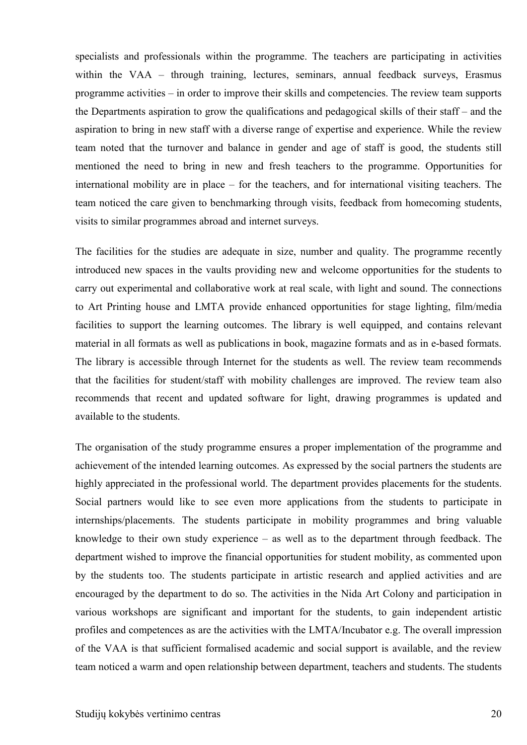specialists and professionals within the programme. The teachers are participating in activities within the VAA – through training, lectures, seminars, annual feedback surveys, Erasmus programme activities – in order to improve their skills and competencies. The review team supports the Departments aspiration to grow the qualifications and pedagogical skills of their staff – and the aspiration to bring in new staff with a diverse range of expertise and experience. While the review team noted that the turnover and balance in gender and age of staff is good, the students still mentioned the need to bring in new and fresh teachers to the programme. Opportunities for international mobility are in place – for the teachers, and for international visiting teachers. The team noticed the care given to benchmarking through visits, feedback from homecoming students, visits to similar programmes abroad and internet surveys.

The facilities for the studies are adequate in size, number and quality. The programme recently introduced new spaces in the vaults providing new and welcome opportunities for the students to carry out experimental and collaborative work at real scale, with light and sound. The connections to Art Printing house and LMTA provide enhanced opportunities for stage lighting, film/media facilities to support the learning outcomes. The library is well equipped, and contains relevant material in all formats as well as publications in book, magazine formats and as in e-based formats. The library is accessible through Internet for the students as well. The review team recommends that the facilities for student/staff with mobility challenges are improved. The review team also recommends that recent and updated software for light, drawing programmes is updated and available to the students.

The organisation of the study programme ensures a proper implementation of the programme and achievement of the intended learning outcomes. As expressed by the social partners the students are highly appreciated in the professional world. The department provides placements for the students. Social partners would like to see even more applications from the students to participate in internships/placements. The students participate in mobility programmes and bring valuable knowledge to their own study experience – as well as to the department through feedback. The department wished to improve the financial opportunities for student mobility, as commented upon by the students too. The students participate in artistic research and applied activities and are encouraged by the department to do so. The activities in the Nida Art Colony and participation in various workshops are significant and important for the students, to gain independent artistic profiles and competences as are the activities with the LMTA/Incubator e.g. The overall impression of the VAA is that sufficient formalised academic and social support is available, and the review team noticed a warm and open relationship between department, teachers and students. The students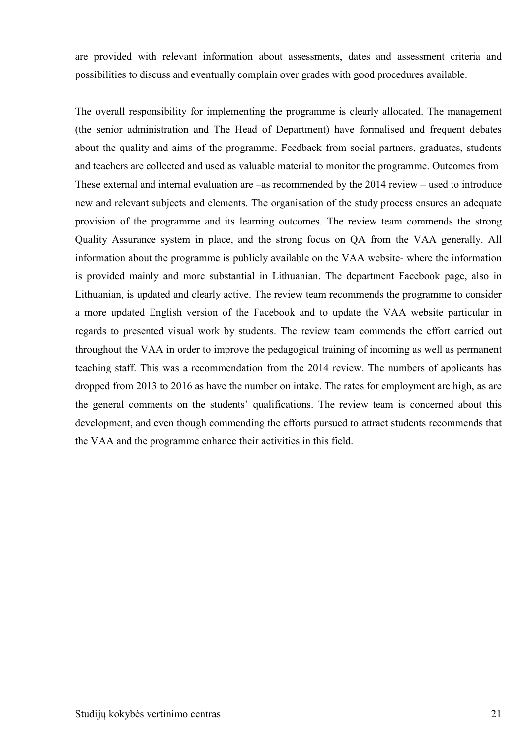are provided with relevant information about assessments, dates and assessment criteria and possibilities to discuss and eventually complain over grades with good procedures available.

The overall responsibility for implementing the programme is clearly allocated. The management (the senior administration and The Head of Department) have formalised and frequent debates about the quality and aims of the programme. Feedback from social partners, graduates, students and teachers are collected and used as valuable material to monitor the programme. Outcomes from These external and internal evaluation are –as recommended by the 2014 review – used to introduce new and relevant subjects and elements. The organisation of the study process ensures an adequate provision of the programme and its learning outcomes. The review team commends the strong Quality Assurance system in place, and the strong focus on QA from the VAA generally. All information about the programme is publicly available on the VAA website- where the information is provided mainly and more substantial in Lithuanian. The department Facebook page, also in Lithuanian, is updated and clearly active. The review team recommends the programme to consider a more updated English version of the Facebook and to update the VAA website particular in regards to presented visual work by students. The review team commends the effort carried out throughout the VAA in order to improve the pedagogical training of incoming as well as permanent teaching staff. This was a recommendation from the 2014 review. The numbers of applicants has dropped from 2013 to 2016 as have the number on intake. The rates for employment are high, as are the general comments on the students' qualifications. The review team is concerned about this development, and even though commending the efforts pursued to attract students recommends that the VAA and the programme enhance their activities in this field.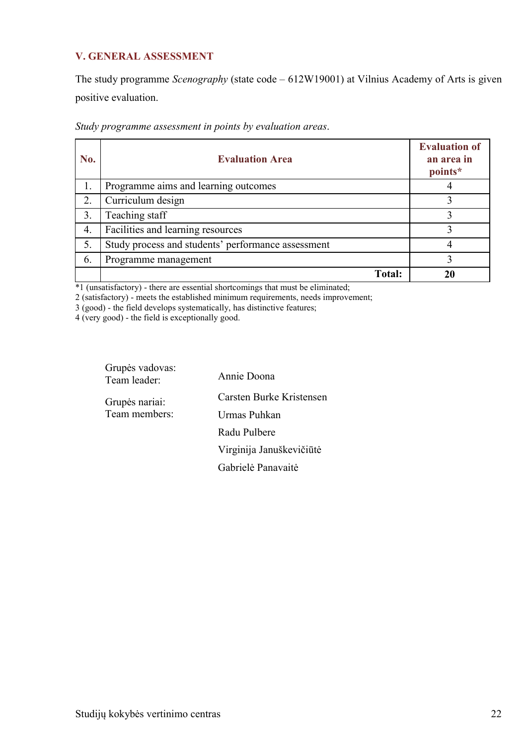## **V. GENERAL ASSESSMENT**

The study programme *Scenography* (state code – 612W19001) at Vilnius Academy of Arts is given positive evaluation.

| No. | <b>Evaluation Area</b>                             | <b>Evaluation of</b><br>an area in<br>points* |
|-----|----------------------------------------------------|-----------------------------------------------|
|     | Programme aims and learning outcomes               |                                               |
| 2.  | Curriculum design                                  |                                               |
| 3.  | Teaching staff                                     |                                               |
| 4.  | Facilities and learning resources                  |                                               |
| 5.  | Study process and students' performance assessment |                                               |
| 6.  | Programme management                               |                                               |
|     | <b>Total:</b>                                      |                                               |

*Study programme assessment in points by evaluation areas*.

\*1 (unsatisfactory) - there are essential shortcomings that must be eliminated;

2 (satisfactory) - meets the established minimum requirements, needs improvement;

3 (good) - the field develops systematically, has distinctive features;

4 (very good) - the field is exceptionally good.

| Grupės vadovas:<br>Team leader: | Annie Doona              |
|---------------------------------|--------------------------|
| Grupės nariai:                  | Carsten Burke Kristensen |
| Team members:                   | Urmas Puhkan             |
|                                 | Radu Pulbere             |
|                                 | Virginija Januškevičiūtė |
|                                 | Gabrielė Panavaitė       |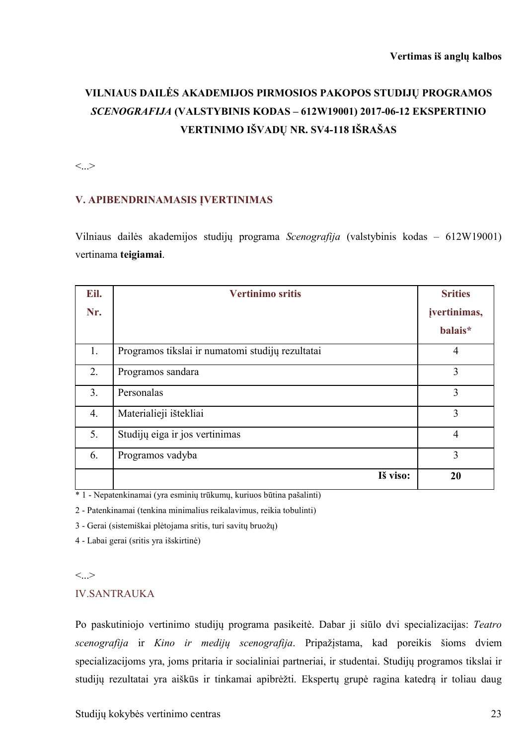## **VILNIAUS DAILĖS AKADEMIJOS PIRMOSIOS PAKOPOS STUDIJŲ PROGRAMOS**  *SCENOGRAFIJA* **(VALSTYBINIS KODAS – 612W19001) 2017-06-12 EKSPERTINIO VERTINIMO IŠVADŲ NR. SV4-118 IŠRAŠAS**

<...>

## **V. APIBENDRINAMASIS ĮVERTINIMAS**

Vilniaus dailės akademijos studijų programa *Scenografija* (valstybinis kodas – 612W19001) vertinama **teigiamai**.

| Eil. | <b>Vertinimo sritis</b>                          | <b>Srities</b> |
|------|--------------------------------------------------|----------------|
| Nr.  |                                                  | jvertinimas,   |
|      |                                                  | balais*        |
| 1.   | Programos tikslai ir numatomi studijų rezultatai | $\overline{4}$ |
| 2.   | Programos sandara                                | 3              |
| 3.   | Personalas                                       | 3              |
| 4.   | Materialieji ištekliai                           | 3              |
| 5.   | Studijų eiga ir jos vertinimas                   | $\overline{4}$ |
| 6.   | Programos vadyba                                 | 3              |
|      | Iš viso:                                         | 20             |

\* 1 - Nepatenkinamai (yra esminių trūkumų, kuriuos būtina pašalinti)

2 - Patenkinamai (tenkina minimalius reikalavimus, reikia tobulinti)

3 - Gerai (sistemiškai plėtojama sritis, turi savitų bruožų)

4 - Labai gerai (sritis yra išskirtinė)

#### $\langle \cdot \rangle$

## IV.SANTRAUKA

Po paskutiniojo vertinimo studijų programa pasikeitė. Dabar ji siūlo dvi specializacijas: *Teatro scenografija* ir *Kino ir medijų scenografija*. Pripažįstama, kad poreikis šioms dviem specializacijoms yra, joms pritaria ir socialiniai partneriai, ir studentai. Studijų programos tikslai ir studijų rezultatai yra aiškūs ir tinkamai apibrėžti. Ekspertų grupė ragina katedrą ir toliau daug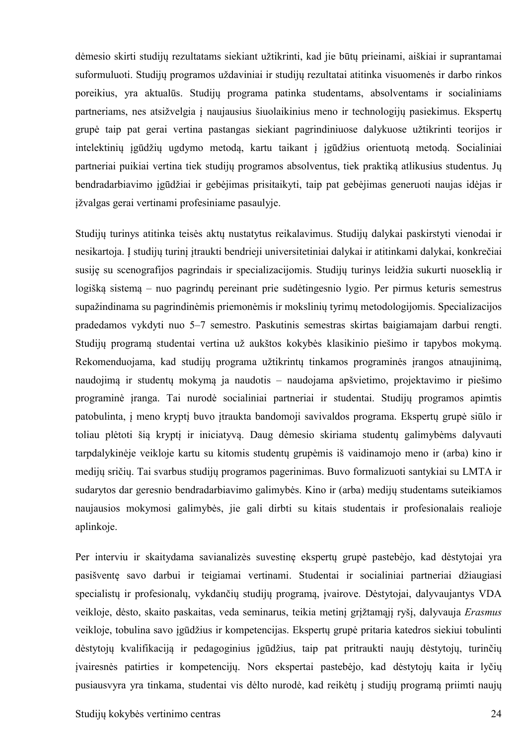dėmesio skirti studijų rezultatams siekiant užtikrinti, kad jie būtų prieinami, aiškiai ir suprantamai suformuluoti. Studijų programos uždaviniai ir studijų rezultatai atitinka visuomenės ir darbo rinkos poreikius, yra aktualūs. Studijų programa patinka studentams, absolventams ir socialiniams partneriams, nes atsižvelgia į naujausius šiuolaikinius meno ir technologijų pasiekimus. Ekspertų grupė taip pat gerai vertina pastangas siekiant pagrindiniuose dalykuose užtikrinti teorijos ir intelektinių įgūdžių ugdymo metodą, kartu taikant į įgūdžius orientuotą metodą. Socialiniai partneriai puikiai vertina tiek studijų programos absolventus, tiek praktiką atlikusius studentus. Jų bendradarbiavimo įgūdžiai ir gebėjimas prisitaikyti, taip pat gebėjimas generuoti naujas idėjas ir įžvalgas gerai vertinami profesiniame pasaulyje.

Studijų turinys atitinka teisės aktų nustatytus reikalavimus. Studijų dalykai paskirstyti vienodai ir nesikartoja. Į studijų turinį įtraukti bendrieji universitetiniai dalykai ir atitinkami dalykai, konkrečiai susiję su scenografijos pagrindais ir specializacijomis. Studijų turinys leidžia sukurti nuoseklią ir logišką sistemą – nuo pagrindų pereinant prie sudėtingesnio lygio. Per pirmus keturis semestrus supažindinama su pagrindinėmis priemonėmis ir mokslinių tyrimų metodologijomis. Specializacijos pradedamos vykdyti nuo 5–7 semestro. Paskutinis semestras skirtas baigiamajam darbui rengti. Studijų programą studentai vertina už aukštos kokybės klasikinio piešimo ir tapybos mokymą. Rekomenduojama, kad studijų programa užtikrintų tinkamos programinės įrangos atnaujinimą, naudojimą ir studentų mokymą ja naudotis – naudojama apšvietimo, projektavimo ir piešimo programinė įranga. Tai nurodė socialiniai partneriai ir studentai. Studijų programos apimtis patobulinta, į meno kryptį buvo įtraukta bandomoji savivaldos programa. Ekspertų grupė siūlo ir toliau plėtoti šią kryptį ir iniciatyvą. Daug dėmesio skiriama studentų galimybėms dalyvauti tarpdalykinėje veikloje kartu su kitomis studentų grupėmis iš vaidinamojo meno ir (arba) kino ir medijų sričių. Tai svarbus studijų programos pagerinimas. Buvo formalizuoti santykiai su LMTA ir sudarytos dar geresnio bendradarbiavimo galimybės. Kino ir (arba) medijų studentams suteikiamos naujausios mokymosi galimybės, jie gali dirbti su kitais studentais ir profesionalais realioje aplinkoje.

Per interviu ir skaitydama savianalizės suvestinę ekspertų grupė pastebėjo, kad dėstytojai yra pasišventę savo darbui ir teigiamai vertinami. Studentai ir socialiniai partneriai džiaugiasi specialistų ir profesionalų, vykdančių studijų programą, įvairove. Dėstytojai, dalyvaujantys VDA veikloje, dėsto, skaito paskaitas, veda seminarus, teikia metinį grįžtamąjį ryšį, dalyvauja *Erasmus* veikloje, tobulina savo įgūdžius ir kompetencijas. Ekspertų grupė pritaria katedros siekiui tobulinti dėstytojų kvalifikaciją ir pedagoginius įgūdžius, taip pat pritraukti naujų dėstytojų, turinčių įvairesnės patirties ir kompetencijų. Nors ekspertai pastebėjo, kad dėstytojų kaita ir lyčių pusiausvyra yra tinkama, studentai vis dėlto nurodė, kad reikėtų į studijų programą priimti naujų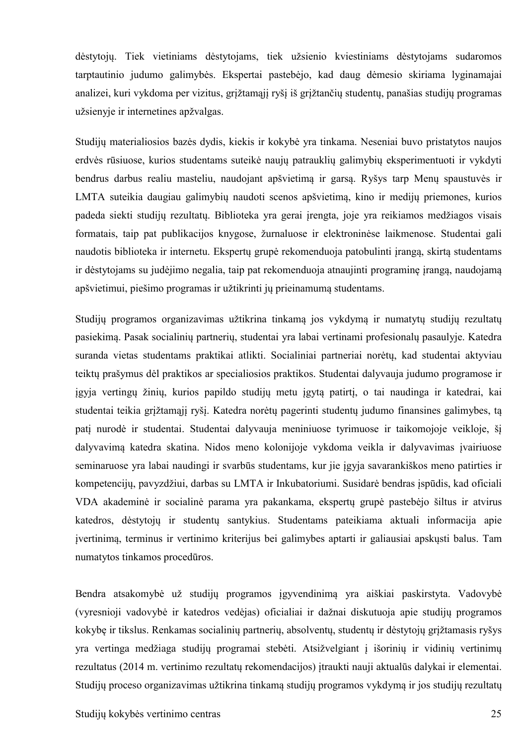dėstytojų. Tiek vietiniams dėstytojams, tiek užsienio kviestiniams dėstytojams sudaromos tarptautinio judumo galimybės. Ekspertai pastebėjo, kad daug dėmesio skiriama lyginamajai analizei, kuri vykdoma per vizitus, grižtamaji ryši iš grižtančių studentų, panašias studijų programas užsienyje ir internetines apžvalgas.

Studijų materialiosios bazės dydis, kiekis ir kokybė yra tinkama. Neseniai buvo pristatytos naujos erdvės rūsiuose, kurios studentams suteikė naujų patrauklių galimybių eksperimentuoti ir vykdyti bendrus darbus realiu masteliu, naudojant apšvietimą ir garsą. Ryšys tarp Menų spaustuvės ir LMTA suteikia daugiau galimybių naudoti scenos apšvietimą, kino ir medijų priemones, kurios padeda siekti studijų rezultatų. Biblioteka yra gerai įrengta, joje yra reikiamos medžiagos visais formatais, taip pat publikacijos knygose, žurnaluose ir elektroninėse laikmenose. Studentai gali naudotis biblioteka ir internetu. Ekspertų grupė rekomenduoja patobulinti įrangą, skirtą studentams ir dėstytojams su judėjimo negalia, taip pat rekomenduoja atnaujinti programinę įrangą, naudojamą apšvietimui, piešimo programas ir užtikrinti jų prieinamumą studentams.

Studijų programos organizavimas užtikrina tinkamą jos vykdymą ir numatytų studijų rezultatų pasiekimą. Pasak socialinių partnerių, studentai yra labai vertinami profesionalų pasaulyje. Katedra suranda vietas studentams praktikai atlikti. Socialiniai partneriai norėtų, kad studentai aktyviau teiktų prašymus dėl praktikos ar specialiosios praktikos. Studentai dalyvauja judumo programose ir įgyja vertingų žinių, kurios papildo studijų metu įgytą patirtį, o tai naudinga ir katedrai, kai studentai teikia grįžtamąjį ryšį. Katedra norėtų pagerinti studentų judumo finansines galimybes, tą patį nurodė ir studentai. Studentai dalyvauja meniniuose tyrimuose ir taikomojoje veikloje, šį dalyvavimą katedra skatina. Nidos meno kolonijoje vykdoma veikla ir dalyvavimas įvairiuose seminaruose yra labai naudingi ir svarbūs studentams, kur jie įgyja savarankiškos meno patirties ir kompetencijų, pavyzdžiui, darbas su LMTA ir Inkubatoriumi. Susidarė bendras įspūdis, kad oficiali VDA akademinė ir socialinė parama yra pakankama, ekspertų grupė pastebėjo šiltus ir atvirus katedros, dėstytojų ir studentų santykius. Studentams pateikiama aktuali informacija apie įvertinimą, terminus ir vertinimo kriterijus bei galimybes aptarti ir galiausiai apskųsti balus. Tam numatytos tinkamos procedūros.

Bendra atsakomybė už studijų programos įgyvendinimą yra aiškiai paskirstyta. Vadovybė (vyresnioji vadovybė ir katedros vedėjas) oficialiai ir dažnai diskutuoja apie studijų programos kokybę ir tikslus. Renkamas socialinių partnerių, absolventų, studentų ir dėstytojų grįžtamasis ryšys yra vertinga medžiaga studijų programai stebėti. Atsižvelgiant į išorinių ir vidinių vertinimų rezultatus (2014 m. vertinimo rezultatų rekomendacijos) įtraukti nauji aktualūs dalykai ir elementai. Studijų proceso organizavimas užtikrina tinkamą studijų programos vykdymą ir jos studijų rezultatų